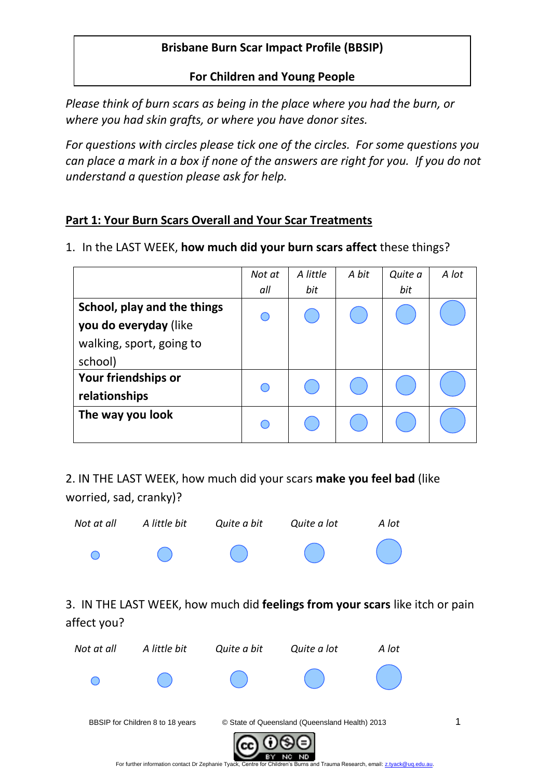## **Brisbane Burn Scar Impact Profile (BBSIP)**

### **For Children and Young People**

*Please think of burn scars as being in the place where you had the burn, or where you had skin grafts, or where you have donor sites.* 

*For questions with circles please tick one of the circles. For some questions you can place a mark in a box if none of the answers are right for you. If you do not understand a question please ask for help.*

## **Part 1: Your Burn Scars Overall and Your Scar Treatments**

1. In the LAST WEEK, **how much did your burn scars affect** these things?

|                             | Not at | A little | A bit | Quite a | A lot |
|-----------------------------|--------|----------|-------|---------|-------|
|                             | all    | bit      |       | bit     |       |
| School, play and the things |        |          |       |         |       |
| you do everyday (like       |        |          |       |         |       |
| walking, sport, going to    |        |          |       |         |       |
| school)                     |        |          |       |         |       |
| Your friendships or         |        |          |       |         |       |
| relationships               |        |          |       |         |       |
| The way you look            |        |          |       |         |       |
|                             |        |          |       |         |       |

2. IN THE LAST WEEK, how much did your scars **make you feel bad** (like worried, sad, cranky)?

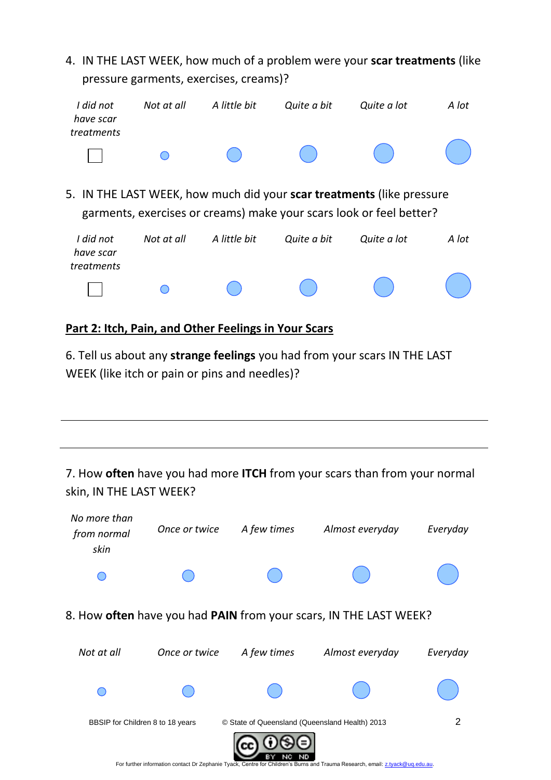| 4. IN THE LAST WEEK, how much of a problem were your scar treatments (like<br>pressure garments, exercises, creams)? |            |              |             |                                                                                                                                              |       |  |  |  |
|----------------------------------------------------------------------------------------------------------------------|------------|--------------|-------------|----------------------------------------------------------------------------------------------------------------------------------------------|-------|--|--|--|
| I did not<br>have scar<br>treatments                                                                                 | Not at all | A little bit | Quite a bit | Quite a lot                                                                                                                                  | A lot |  |  |  |
|                                                                                                                      |            |              |             |                                                                                                                                              |       |  |  |  |
|                                                                                                                      |            |              |             | 5. IN THE LAST WEEK, how much did your scar treatments (like pressure<br>garments, exercises or creams) make your scars look or feel better? |       |  |  |  |
| I did not<br>have scar<br>treatments                                                                                 | Not at all | A little bit | Quite a bit | Quite a lot                                                                                                                                  | A lot |  |  |  |
|                                                                                                                      |            |              |             |                                                                                                                                              |       |  |  |  |

#### **Part 2: Itch, Pain, and Other Feelings in Your Scars**

6. Tell us about any **strange feelings** you had from your scars IN THE LAST WEEK (like itch or pain or pins and needles)?

# 7. How **often** have you had more **ITCH** from your scars than from your normal skin, IN THE LAST WEEK?

| No more than<br>from normal<br>skin | Once or twice | A few times                                    | Almost everyday                                                                                                               | Everyday |
|-------------------------------------|---------------|------------------------------------------------|-------------------------------------------------------------------------------------------------------------------------------|----------|
|                                     |               |                                                |                                                                                                                               |          |
|                                     |               |                                                | 8. How <b>often</b> have you had <b>PAIN</b> from your scars, IN THE LAST WEEK?                                               |          |
| Not at all                          | Once or twice | A few times                                    | Almost everyday                                                                                                               | Everyday |
|                                     |               |                                                |                                                                                                                               |          |
| BBSIP for Children 8 to 18 years    |               | © State of Queensland (Queensland Health) 2013 |                                                                                                                               | 2        |
|                                     |               |                                                | For further information contact Dr Zephanie Tyack, Centre for Children's Burns and Trauma Research, email: z.tyack@ug.edu.au. |          |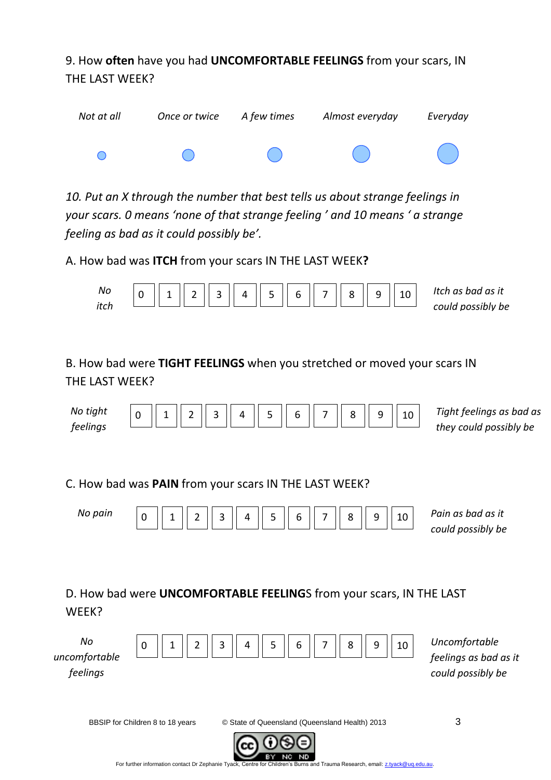9. How **often** have you had **UNCOMFORTABLE FEELINGS** from your scars, IN THE LAST WEEK?



*10. Put an X through the number that best tells us about strange feelings in your scars. 0 means 'none of that strange feeling ' and 10 means ' a strange feeling as bad as it could possibly be'.* 

A. How bad was **ITCH** from your scars IN THE LAST WEEK**?**



B. How bad were **TIGHT FEELINGS** when you stretched or moved your scars IN THE LAST WFFK?

| No tight |  |  |  | $\ 1\ 2\ 3\ 4\ 5\ 6\ 7\ 8\ $ | $\alpha$ | $\mathbin{\parallel}10$ | Tight feelings as bad as |
|----------|--|--|--|------------------------------|----------|-------------------------|--------------------------|
| feelings |  |  |  |                              |          |                         | they could possibly be   |

C. How bad was **PAIN** from your scars IN THE LAST WEEK?

| No pain | । २<br>$\overline{2}$ | $\parallel$ 5 $\parallel$ 6<br>$\parallel$ 4 | II 7 II | 8 <sup>8</sup> | q | Pain as bad as it<br>could possibly be |
|---------|-----------------------|----------------------------------------------|---------|----------------|---|----------------------------------------|
|         |                       |                                              |         |                |   |                                        |

D. How bad were **UNCOMFORTABLE FEELING**S from your scars, IN THE LAST WEEK?



BBSIP for Children 8 to 18 years **C** State of Queensland (Queensland Health) 2013



ND.

For further information contact Dr Zephanie Tyack, Centre for Children's Burns and Trauma Research, email[: z.tyack@uq.edu.au.](mailto:z.tyack@uq.edu.au)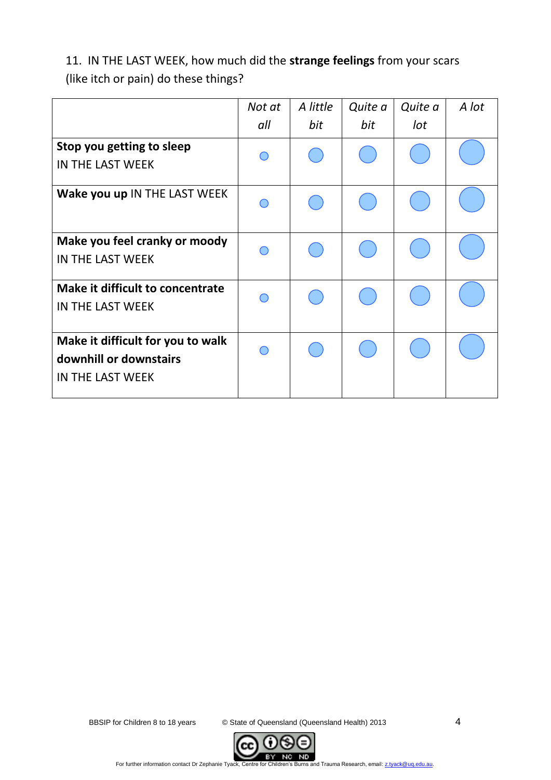11. IN THE LAST WEEK, how much did the **strange feelings** from your scars (like itch or pain) do these things?

|                                   | Not at | A little | Quite a | Quite a | A lot |
|-----------------------------------|--------|----------|---------|---------|-------|
|                                   | all    | bit      | bit     | lot     |       |
| Stop you getting to sleep         |        |          |         |         |       |
| IN THE LAST WEEK                  |        |          |         |         |       |
| Wake you up IN THE LAST WEEK      |        |          |         |         |       |
| Make you feel cranky or moody     |        |          |         |         |       |
| IN THE LAST WEEK                  |        |          |         |         |       |
| Make it difficult to concentrate  |        |          |         |         |       |
| IN THE LAST WEEK                  |        |          |         |         |       |
| Make it difficult for you to walk |        |          |         |         |       |
| downhill or downstairs            |        |          |         |         |       |
| IN THE LAST WEEK                  |        |          |         |         |       |

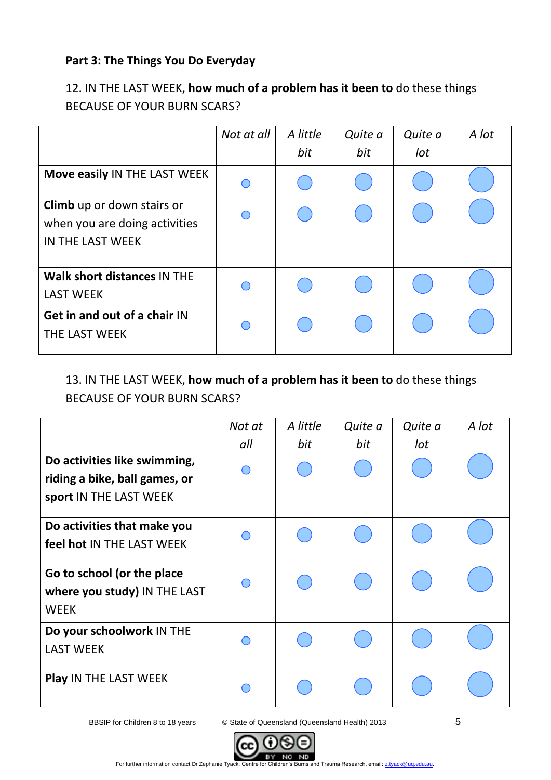## **Part 3: The Things You Do Everyday**

# 12. IN THE LAST WEEK, **how much of a problem has it been to** do these things BECAUSE OF YOUR BURN SCARS?

|                                                                                        | Not at all | A little | Quite a | Quite a | A lot |
|----------------------------------------------------------------------------------------|------------|----------|---------|---------|-------|
|                                                                                        |            | bit      | bit     | lot     |       |
| Move easily IN THE LAST WEEK                                                           | ∩          |          |         |         |       |
| <b>Climb</b> up or down stairs or<br>when you are doing activities<br>IN THE LAST WEEK | ◯          |          |         |         |       |
| Walk short distances IN THE<br><b>LAST WEEK</b>                                        | $\subset$  |          |         |         |       |
| Get in and out of a chair IN<br><b>THE LAST WEEK</b>                                   | ◠          |          |         |         |       |

## 13. IN THE LAST WEEK, **how much of a problem has it been to** do these things BECAUSE OF YOUR BURN SCARS?

|                                                                                         | Not at | A little | Quite a | Quite a | A lot |
|-----------------------------------------------------------------------------------------|--------|----------|---------|---------|-------|
|                                                                                         | all    | bit      | bit     | lot     |       |
| Do activities like swimming,<br>riding a bike, ball games, or<br>sport IN THE LAST WEEK |        |          |         |         |       |
| Do activities that make you<br>feel hot IN THE LAST WEEK                                |        |          |         |         |       |
| Go to school (or the place<br>where you study) IN THE LAST<br><b>WEEK</b>               |        |          |         |         |       |
| Do your schoolwork IN THE<br><b>LAST WEEK</b>                                           |        |          |         |         |       |
| <b>Play IN THE LAST WEEK</b>                                                            |        |          |         |         |       |

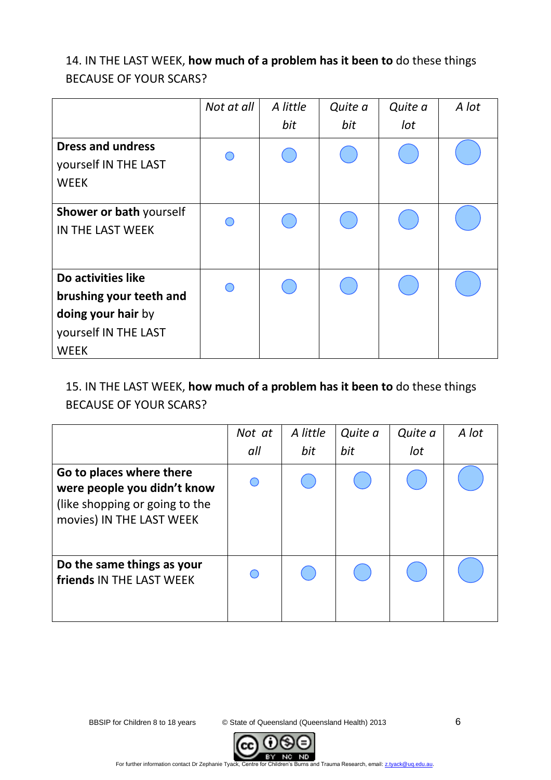# 14. IN THE LAST WEEK, **how much of a problem has it been to** do these things BECAUSE OF YOUR SCARS?

|                          | Not at all | A little | Quite a | Quite a | A lot |
|--------------------------|------------|----------|---------|---------|-------|
|                          |            | bit      | bit     | lot     |       |
| <b>Dress and undress</b> |            |          |         |         |       |
| yourself IN THE LAST     |            |          |         |         |       |
| <b>WEEK</b>              |            |          |         |         |       |
| Shower or bath yourself  |            |          |         |         |       |
| IN THE LAST WEEK         |            |          |         |         |       |
|                          |            |          |         |         |       |
| Do activities like       |            |          |         |         |       |
| brushing your teeth and  |            |          |         |         |       |
| doing your hair by       |            |          |         |         |       |
| yourself IN THE LAST     |            |          |         |         |       |
| <b>WEEK</b>              |            |          |         |         |       |

## 15. IN THE LAST WEEK, **how much of a problem has it been to** do these things BECAUSE OF YOUR SCARS?

|                                                                                                                       | Not at | A little | Quite a | Quite a | A lot |
|-----------------------------------------------------------------------------------------------------------------------|--------|----------|---------|---------|-------|
|                                                                                                                       | all    | bit      | bit     | lot     |       |
| Go to places where there<br>were people you didn't know<br>(like shopping or going to the<br>movies) IN THE LAST WEEK |        |          |         |         |       |
| Do the same things as your<br>friends IN THE LAST WEEK                                                                |        |          |         |         |       |

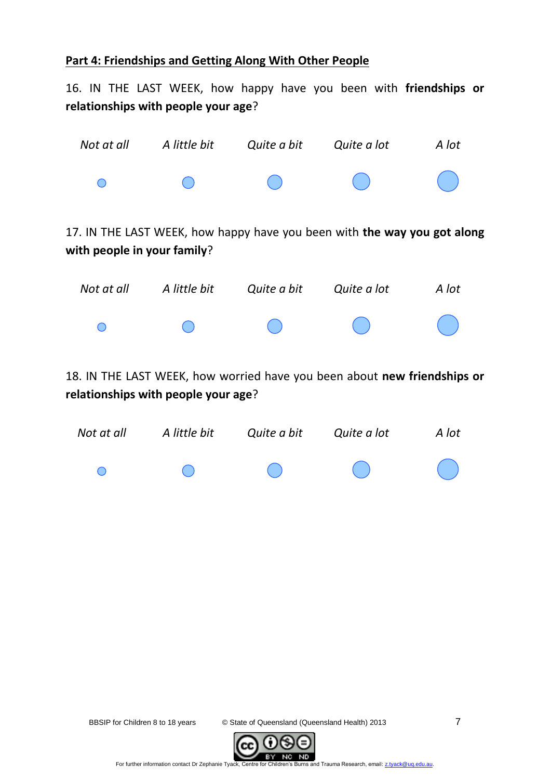## **Part 4: Friendships and Getting Along With Other People**

16. IN THE LAST WEEK, how happy have you been with **friendships or relationships with people your age**?

| Not at all                                                                                                      | A little bit | Quite a bit | Quite a lot                                                              | A lot |  |  |  |  |
|-----------------------------------------------------------------------------------------------------------------|--------------|-------------|--------------------------------------------------------------------------|-------|--|--|--|--|
| $\left( \begin{array}{c} \end{array} \right)$                                                                   |              |             |                                                                          |       |  |  |  |  |
| with people in your family?                                                                                     |              |             | 17. IN THE LAST WEEK, how happy have you been with the way you got along |       |  |  |  |  |
| Not at all                                                                                                      | A little bit | Quite a bit | Quite a lot                                                              | A lot |  |  |  |  |
| ∩                                                                                                               |              |             |                                                                          |       |  |  |  |  |
| 18. IN THE LAST WEEK, how worried have you been about new friendships or<br>relationships with people your age? |              |             |                                                                          |       |  |  |  |  |



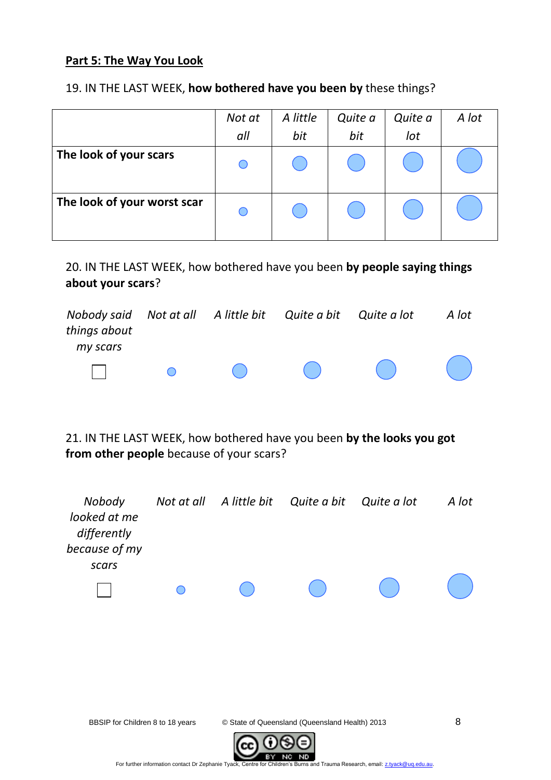#### **Part 5: The Way You Look**

#### 19. IN THE LAST WEEK, **how bothered have you been by** these things?

|                             | Not at | A little | Quite a | Quite a | A lot |
|-----------------------------|--------|----------|---------|---------|-------|
|                             | all    | bit      | bit     | lot     |       |
| The look of your scars      |        |          |         |         |       |
| The look of your worst scar |        |          |         |         |       |

20. IN THE LAST WEEK, how bothered have you been **by people saying things about your scars**?

| Nobody said Not at all A little bit Quite a bit Quite a lot<br>things about<br>my scars |                |  |                                                                                                                                                                  | A lot |
|-----------------------------------------------------------------------------------------|----------------|--|------------------------------------------------------------------------------------------------------------------------------------------------------------------|-------|
|                                                                                         | $\overline{a}$ |  | $\begin{pmatrix} 1 & 1 & 1 \\ 1 & 1 & 1 \end{pmatrix} \begin{pmatrix} 1 & 1 & 1 \\ 1 & 1 & 1 \end{pmatrix} \begin{pmatrix} 1 & 1 & 1 \\ 1 & 1 & 1 \end{pmatrix}$ |       |

21. IN THE LAST WEEK, how bothered have you been **by the looks you got from other people** because of your scars?



For further information contact Dr Zephanie Tyack, Centre for Children's Burns and Trauma Research, email[: z.tyack@uq.edu.au.](mailto:z.tyack@uq.edu.au)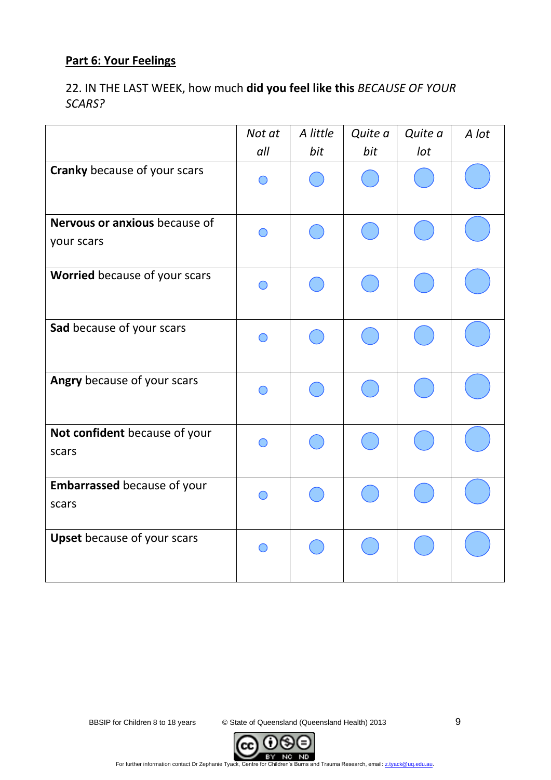# **Part 6: Your Feelings**

22. IN THE LAST WEEK, how much **did you feel like this** *BECAUSE OF YOUR SCARS?* 

|                                             | Not at | A little | Quite a | Quite a | A lot |
|---------------------------------------------|--------|----------|---------|---------|-------|
|                                             | all    | bit      | bit     | Iot     |       |
| <b>Cranky</b> because of your scars         |        |          |         |         |       |
| Nervous or anxious because of<br>your scars |        |          |         |         |       |
| Worried because of your scars               |        |          |         |         |       |
| Sad because of your scars                   |        |          |         |         |       |
| Angry because of your scars                 |        |          |         |         |       |
| Not confident because of your<br>scars      |        |          |         |         |       |
| Embarrassed because of your<br>scars        |        |          |         |         |       |
| <b>Upset</b> because of your scars          |        |          |         |         |       |

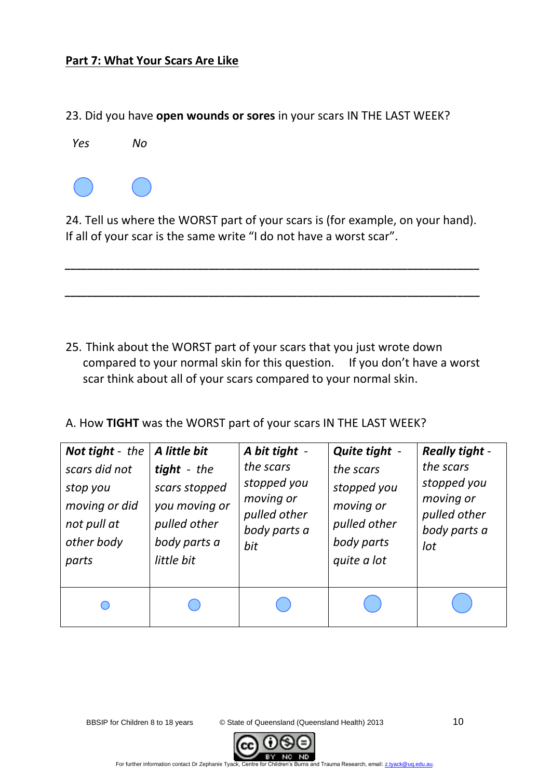#### **Part 7: What Your Scars Are Like**

23. Did you have **open wounds or sores** in your scars IN THE LAST WEEK?



24. Tell us where the WORST part of your scars is (for example, on your hand). If all of your scar is the same write "I do not have a worst scar".

*\_\_\_\_\_\_\_\_\_\_\_\_\_\_\_\_\_\_\_\_\_\_\_\_\_\_\_\_\_\_\_\_\_\_\_\_\_\_\_\_\_\_\_\_\_\_\_\_\_\_\_\_\_\_\_\_\_\_\_\_\_\_\_\_\_\_\_\_\_\_\_\_\_\_\_*

*\_\_\_\_\_\_\_\_\_\_\_\_\_\_\_\_\_\_\_\_\_\_\_\_\_\_\_\_\_\_\_\_\_\_\_\_\_\_\_\_\_\_\_\_\_\_\_\_\_\_\_\_\_\_\_\_\_\_\_\_\_\_\_\_\_\_\_\_\_\_\_\_\_\_\_*

- 25. Think about the WORST part of your scars that you just wrote down compared to your normal skin for this question. If you don't have a worst scar think about all of your scars compared to your normal skin.
- A. How **TIGHT** was the WORST part of your scars IN THE LAST WEEK?

| <b>Not tight</b> - the | A little bit  | A bit tight - | Quite tight - | <b>Really tight -</b> |
|------------------------|---------------|---------------|---------------|-----------------------|
| scars did not          | tight - the   | the scars     | the scars     | the scars             |
| stop you               | scars stopped | stopped you   | stopped you   | stopped you           |
| moving or did          | you moving or | moving or     | moving or     | moving or             |
| not pull at            | pulled other  | pulled other  | pulled other  | pulled other          |
| other body             | body parts a  | body parts a  | body parts    | body parts a          |
| parts                  | little bit    | bit           | quite a lot   | lot                   |
|                        |               |               |               |                       |

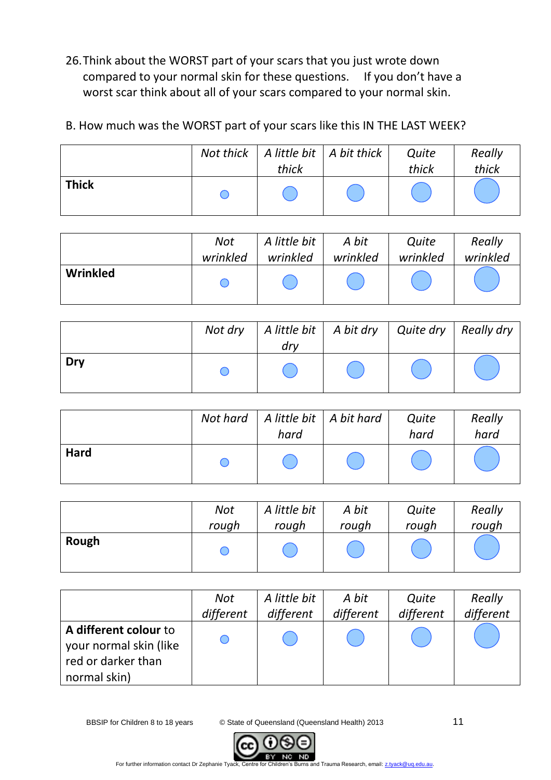26.Think about the WORST part of your scars that you just wrote down compared to your normal skin for these questions. If you don't have a worst scar think about all of your scars compared to your normal skin.

## B. How much was the WORST part of your scars like this IN THE LAST WEEK?

|              | thick | Not thick   A little bit   A bit thick | Quite<br>thick | Really<br>thick |
|--------------|-------|----------------------------------------|----------------|-----------------|
| <b>Thick</b> |       |                                        |                |                 |

|          | Not      | A little bit | A bit    | Quite    | Really   |
|----------|----------|--------------|----------|----------|----------|
|          | wrinkled | wrinkled     | wrinkled | wrinkled | wrinkled |
| Wrinkled |          |              |          |          |          |

|     | Not dry   A little bit   A bit dry   Quite dry   Really dry  <br>dry |  |  |
|-----|----------------------------------------------------------------------|--|--|
| Dry |                                                                      |  |  |

|             | Not hard   A little bit   A bit hard<br>hard | Quite<br>hard | Really<br>hard |
|-------------|----------------------------------------------|---------------|----------------|
| <b>Hard</b> |                                              |               |                |

|       | Not   | A little bit | A bit | Quite | Really |
|-------|-------|--------------|-------|-------|--------|
|       | rough | rough        | rough | rough | rough  |
| Rough |       |              |       |       |        |

|                                                 | Not       | A little bit | A bit     | Quite     | Really    |
|-------------------------------------------------|-----------|--------------|-----------|-----------|-----------|
|                                                 | different | different    | different | different | different |
| A different colour to<br>your normal skin (like |           |              |           |           |           |
| red or darker than<br>normal skin)              |           |              |           |           |           |